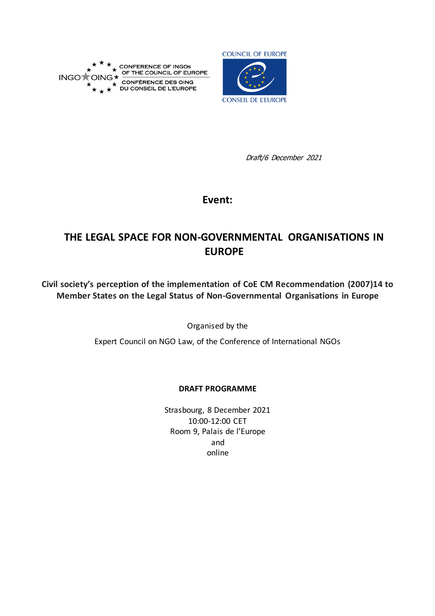



Draft/6 December 2021

## **Event:**

# **THE LEGAL SPACE FOR NON-GOVERNMENTAL ORGANISATIONS IN EUROPE**

**Civil society's perception of the implementation of CoE CM Recommendation (2007)14 to Member States on the Legal Status of Non-Governmental Organisations in Europe**

Organised by the

Expert Council on NGO Law, of the Conference of International NGOs

#### **DRAFT PROGRAMME**

Strasbourg, 8 December 2021 10:00-12:00 CET Room 9, Palais de l'Europe and online